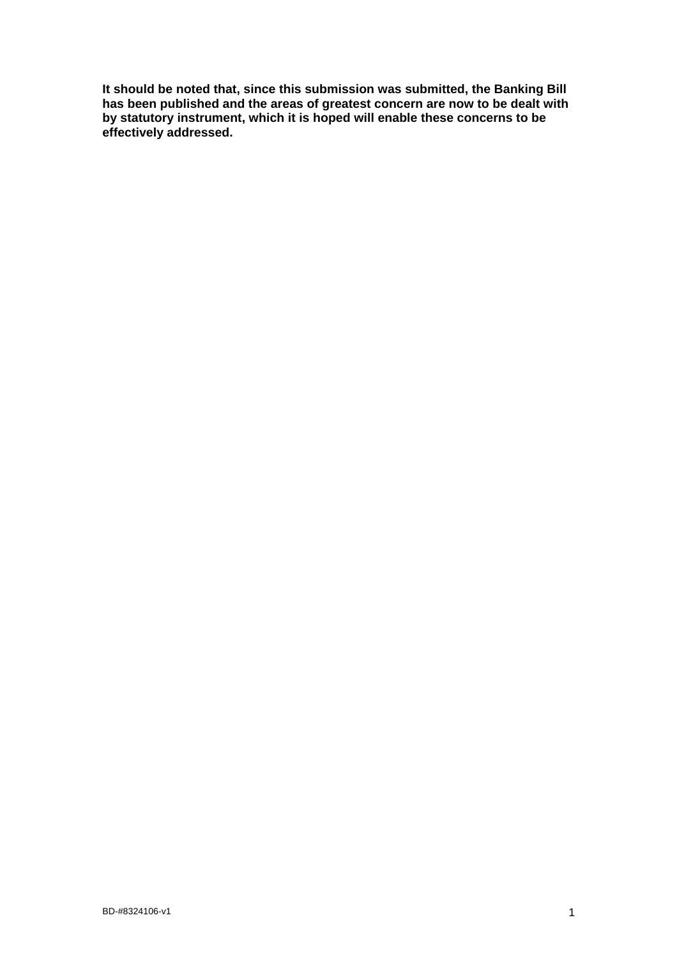**It should be noted that, since this submission was submitted, the Banking Bill has been published and the areas of greatest concern are now to be dealt with by statutory instrument, which it is hoped will enable these concerns to be effectively addressed.**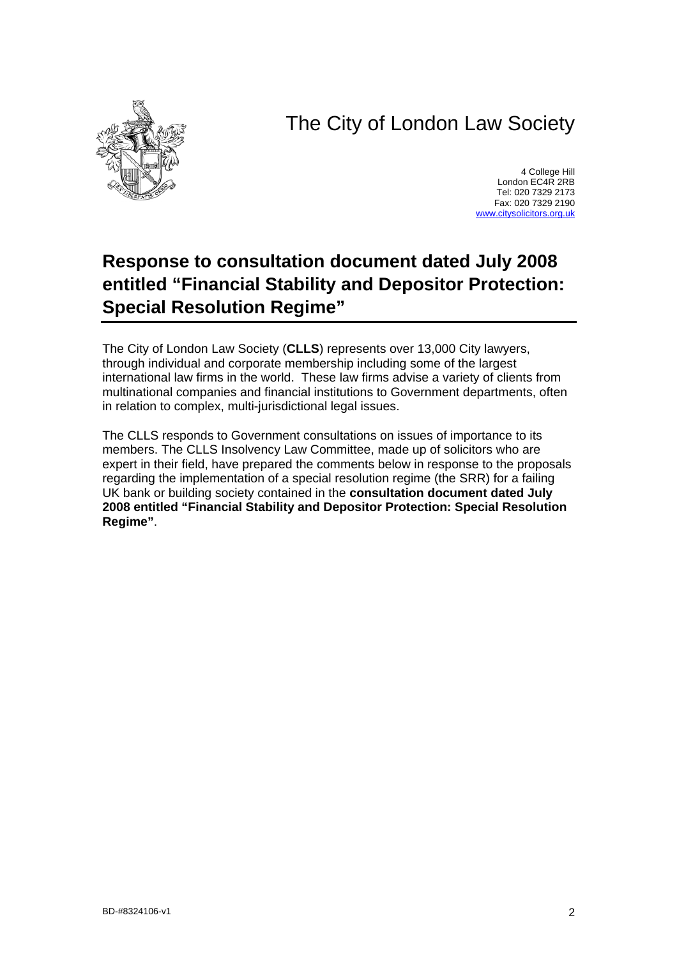# The City of London Law Society



4 College Hill London EC4R 2RB Tel: 020 7329 2173 Fax: 020 7329 2190 [www.citysolicitors.org.uk](http://www.citysolicitors.org.uk/)

## **Response to consultation document dated July 2008 entitled "Financial Stability and Depositor Protection: Special Resolution Regime"**

The City of London Law Society (**CLLS**) represents over 13,000 City lawyers, through individual and corporate membership including some of the largest international law firms in the world. These law firms advise a variety of clients from multinational companies and financial institutions to Government departments, often in relation to complex, multi-jurisdictional legal issues.

The CLLS responds to Government consultations on issues of importance to its members. The CLLS Insolvency Law Committee, made up of solicitors who are expert in their field, have prepared the comments below in response to the proposals regarding the implementation of a special resolution regime (the SRR) for a failing UK bank or building society contained in the **consultation document dated July 2008 entitled "Financial Stability and Depositor Protection: Special Resolution Regime"**.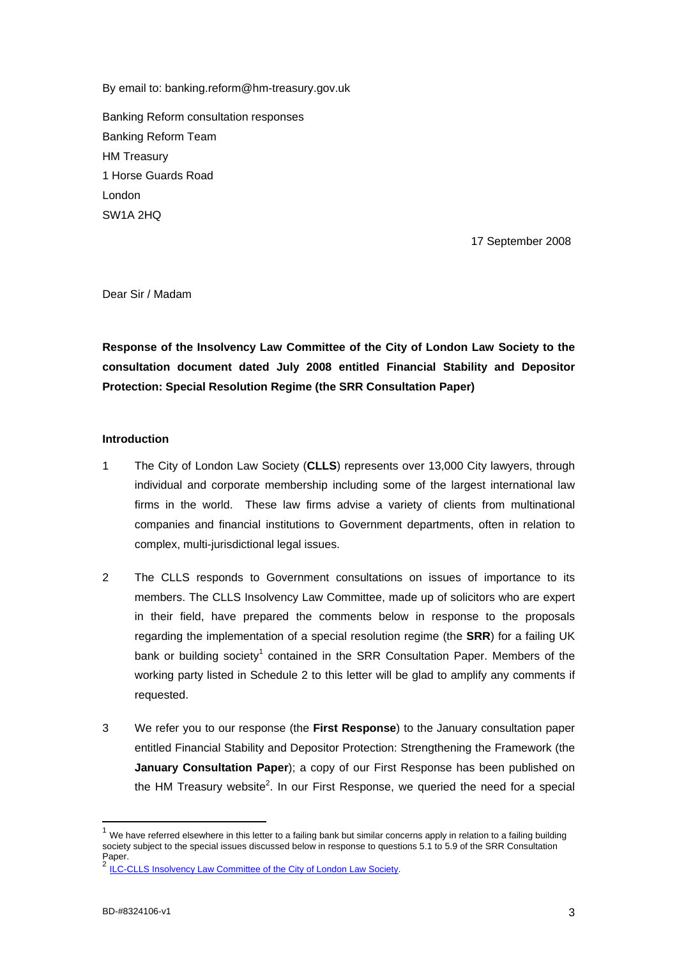By email to: banking.reform@hm-treasury.gov.uk

Banking Reform consultation responses Banking Reform Team HM Treasury 1 Horse Guards Road London SW1A 2HQ

17 September 2008

Dear Sir / Madam

**Response of the Insolvency Law Committee of the City of London Law Society to the consultation document dated July 2008 entitled Financial Stability and Depositor Protection: Special Resolution Regime (the SRR Consultation Paper)** 

## **Introduction**

- 1 The City of London Law Society (**CLLS**) represents over 13,000 City lawyers, through individual and corporate membership including some of the largest international law firms in the world. These law firms advise a variety of clients from multinational companies and financial institutions to Government departments, often in relation to complex, multi-jurisdictional legal issues.
- 2 The CLLS responds to Government consultations on issues of importance to its members. The CLLS Insolvency Law Committee, made up of solicitors who are expert in their field, have prepared the comments below in response to the proposals regarding the implementation of a special resolution regime (the **SRR**) for a failing UK bank or building society<sup>[1](#page-2-0)</sup> contained in the SRR Consultation Paper. Members of the working party listed in Schedule 2 to this letter will be glad to amplify any comments if requested.
- 3 We refer you to our response (the **First Response**) to the January consultation paper entitled Financial Stability and Depositor Protection: Strengthening the Framework (the **January Consultation Paper**); a copy of our First Response has been published on the HM Treasury website<sup>[2](#page-2-1)</sup>. In our First Response, we queried the need for a special

<span id="page-2-0"></span> $1$  We have referred elsewhere in this letter to a failing bank but similar concerns apply in relation to a failing building society subject to the special issues discussed below in response to questions 5.1 to 5.9 of the SRR Consultation Paper.

<span id="page-2-1"></span><sup>2</sup> [ILC-CLLS Insolvency Law Committee of the City of London Law Society](http://www.hm-treasury.gov.uk/media/5/9/Insolvency_Law_Committee_of_the_City_of_London_Law_Soc.pdf).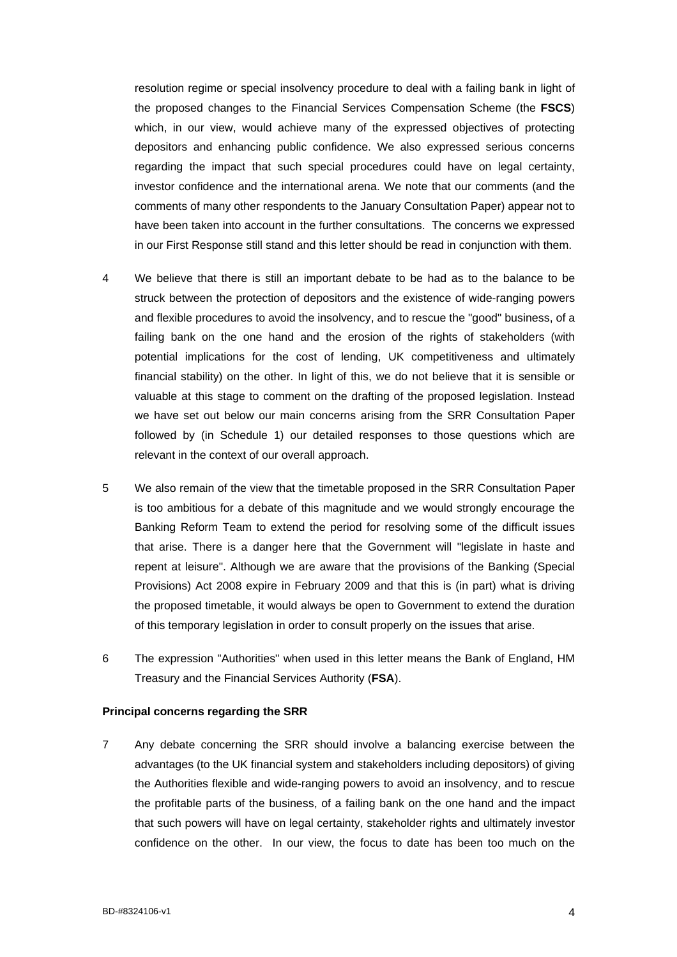resolution regime or special insolvency procedure to deal with a failing bank in light of the proposed changes to the Financial Services Compensation Scheme (the **FSCS**) which, in our view, would achieve many of the expressed objectives of protecting depositors and enhancing public confidence. We also expressed serious concerns regarding the impact that such special procedures could have on legal certainty, investor confidence and the international arena. We note that our comments (and the comments of many other respondents to the January Consultation Paper) appear not to have been taken into account in the further consultations. The concerns we expressed in our First Response still stand and this letter should be read in conjunction with them.

- 4 We believe that there is still an important debate to be had as to the balance to be struck between the protection of depositors and the existence of wide-ranging powers and flexible procedures to avoid the insolvency, and to rescue the "good" business, of a failing bank on the one hand and the erosion of the rights of stakeholders (with potential implications for the cost of lending, UK competitiveness and ultimately financial stability) on the other. In light of this, we do not believe that it is sensible or valuable at this stage to comment on the drafting of the proposed legislation. Instead we have set out below our main concerns arising from the SRR Consultation Paper followed by (in Schedule 1) our detailed responses to those questions which are relevant in the context of our overall approach.
- 5 We also remain of the view that the timetable proposed in the SRR Consultation Paper is too ambitious for a debate of this magnitude and we would strongly encourage the Banking Reform Team to extend the period for resolving some of the difficult issues that arise. There is a danger here that the Government will "legislate in haste and repent at leisure". Although we are aware that the provisions of the Banking (Special Provisions) Act 2008 expire in February 2009 and that this is (in part) what is driving the proposed timetable, it would always be open to Government to extend the duration of this temporary legislation in order to consult properly on the issues that arise.
- 6 The expression "Authorities" when used in this letter means the Bank of England, HM Treasury and the Financial Services Authority (**FSA**).

#### **Principal concerns regarding the SRR**

7 Any debate concerning the SRR should involve a balancing exercise between the advantages (to the UK financial system and stakeholders including depositors) of giving the Authorities flexible and wide-ranging powers to avoid an insolvency, and to rescue the profitable parts of the business, of a failing bank on the one hand and the impact that such powers will have on legal certainty, stakeholder rights and ultimately investor confidence on the other. In our view, the focus to date has been too much on the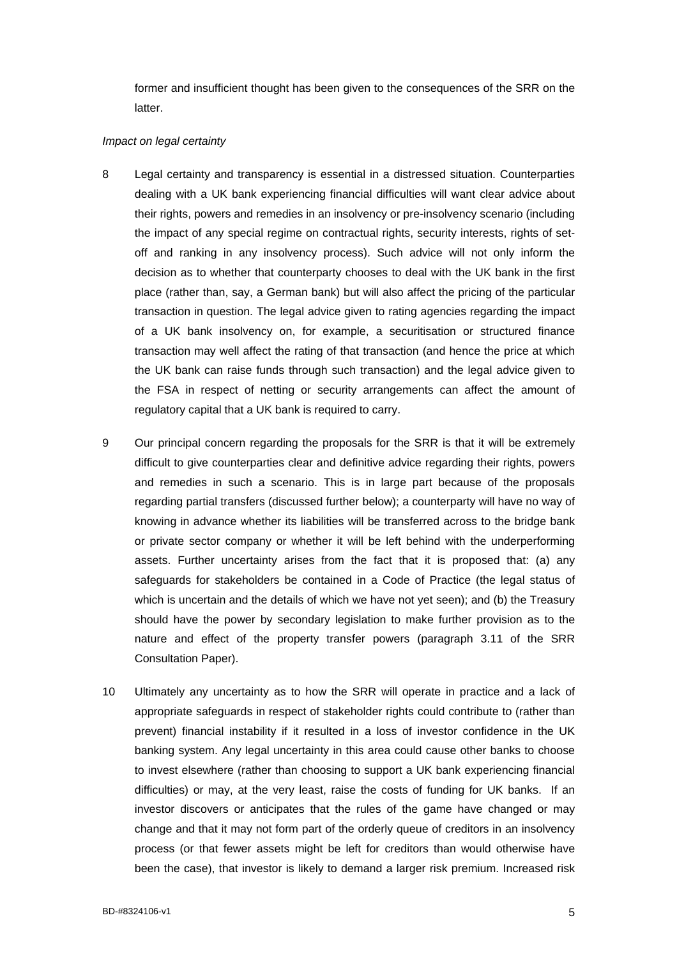former and insufficient thought has been given to the consequences of the SRR on the latter.

#### *Impact on legal certainty*

- 8 Legal certainty and transparency is essential in a distressed situation. Counterparties dealing with a UK bank experiencing financial difficulties will want clear advice about their rights, powers and remedies in an insolvency or pre-insolvency scenario (including the impact of any special regime on contractual rights, security interests, rights of setoff and ranking in any insolvency process). Such advice will not only inform the decision as to whether that counterparty chooses to deal with the UK bank in the first place (rather than, say, a German bank) but will also affect the pricing of the particular transaction in question. The legal advice given to rating agencies regarding the impact of a UK bank insolvency on, for example, a securitisation or structured finance transaction may well affect the rating of that transaction (and hence the price at which the UK bank can raise funds through such transaction) and the legal advice given to the FSA in respect of netting or security arrangements can affect the amount of regulatory capital that a UK bank is required to carry.
- 9 Our principal concern regarding the proposals for the SRR is that it will be extremely difficult to give counterparties clear and definitive advice regarding their rights, powers and remedies in such a scenario. This is in large part because of the proposals regarding partial transfers (discussed further below); a counterparty will have no way of knowing in advance whether its liabilities will be transferred across to the bridge bank or private sector company or whether it will be left behind with the underperforming assets. Further uncertainty arises from the fact that it is proposed that: (a) any safeguards for stakeholders be contained in a Code of Practice (the legal status of which is uncertain and the details of which we have not yet seen); and (b) the Treasury should have the power by secondary legislation to make further provision as to the nature and effect of the property transfer powers (paragraph 3.11 of the SRR Consultation Paper).
- 10 Ultimately any uncertainty as to how the SRR will operate in practice and a lack of appropriate safeguards in respect of stakeholder rights could contribute to (rather than prevent) financial instability if it resulted in a loss of investor confidence in the UK banking system. Any legal uncertainty in this area could cause other banks to choose to invest elsewhere (rather than choosing to support a UK bank experiencing financial difficulties) or may, at the very least, raise the costs of funding for UK banks. If an investor discovers or anticipates that the rules of the game have changed or may change and that it may not form part of the orderly queue of creditors in an insolvency process (or that fewer assets might be left for creditors than would otherwise have been the case), that investor is likely to demand a larger risk premium. Increased risk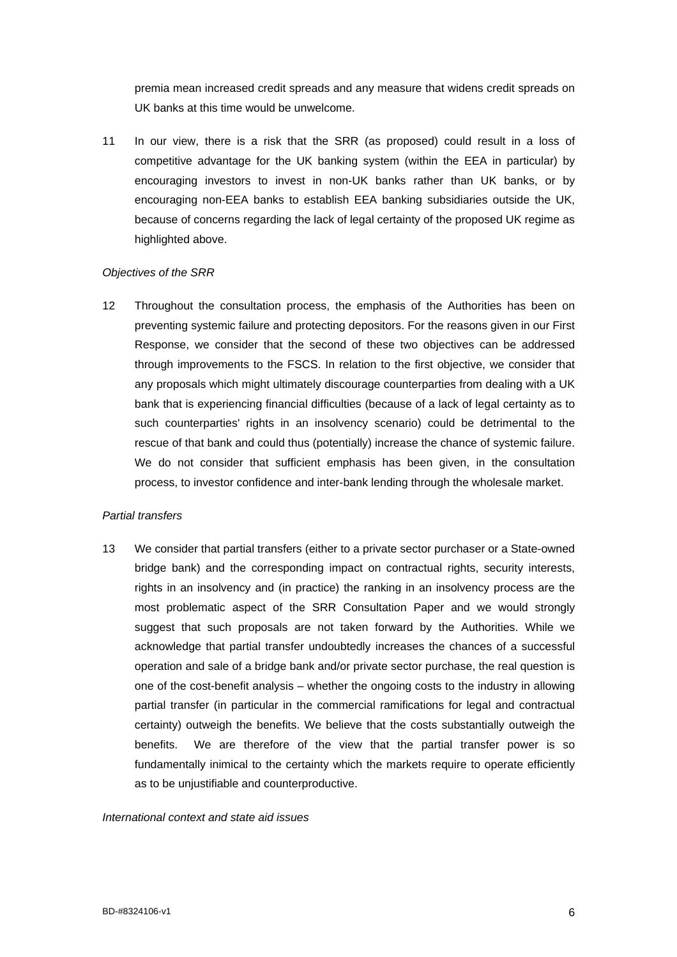premia mean increased credit spreads and any measure that widens credit spreads on UK banks at this time would be unwelcome.

11 In our view, there is a risk that the SRR (as proposed) could result in a loss of competitive advantage for the UK banking system (within the EEA in particular) by encouraging investors to invest in non-UK banks rather than UK banks, or by encouraging non-EEA banks to establish EEA banking subsidiaries outside the UK, because of concerns regarding the lack of legal certainty of the proposed UK regime as highlighted above.

## *Objectives of the SRR*

12 Throughout the consultation process, the emphasis of the Authorities has been on preventing systemic failure and protecting depositors. For the reasons given in our First Response, we consider that the second of these two objectives can be addressed through improvements to the FSCS. In relation to the first objective, we consider that any proposals which might ultimately discourage counterparties from dealing with a UK bank that is experiencing financial difficulties (because of a lack of legal certainty as to such counterparties' rights in an insolvency scenario) could be detrimental to the rescue of that bank and could thus (potentially) increase the chance of systemic failure. We do not consider that sufficient emphasis has been given, in the consultation process, to investor confidence and inter-bank lending through the wholesale market.

## *Partial transfers*

13 We consider that partial transfers (either to a private sector purchaser or a State-owned bridge bank) and the corresponding impact on contractual rights, security interests, rights in an insolvency and (in practice) the ranking in an insolvency process are the most problematic aspect of the SRR Consultation Paper and we would strongly suggest that such proposals are not taken forward by the Authorities. While we acknowledge that partial transfer undoubtedly increases the chances of a successful operation and sale of a bridge bank and/or private sector purchase, the real question is one of the cost-benefit analysis – whether the ongoing costs to the industry in allowing partial transfer (in particular in the commercial ramifications for legal and contractual certainty) outweigh the benefits. We believe that the costs substantially outweigh the benefits. We are therefore of the view that the partial transfer power is so fundamentally inimical to the certainty which the markets require to operate efficiently as to be unjustifiable and counterproductive.

#### *International context and state aid issues*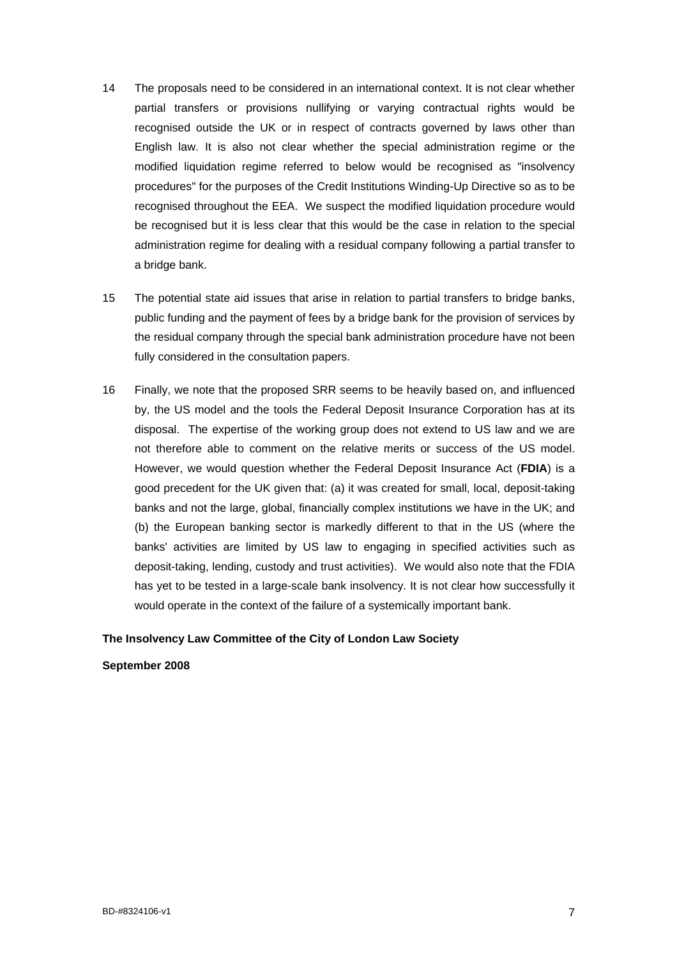- 14 The proposals need to be considered in an international context. It is not clear whether partial transfers or provisions nullifying or varying contractual rights would be recognised outside the UK or in respect of contracts governed by laws other than English law. It is also not clear whether the special administration regime or the modified liquidation regime referred to below would be recognised as "insolvency procedures" for the purposes of the Credit Institutions Winding-Up Directive so as to be recognised throughout the EEA. We suspect the modified liquidation procedure would be recognised but it is less clear that this would be the case in relation to the special administration regime for dealing with a residual company following a partial transfer to a bridge bank.
- 15 The potential state aid issues that arise in relation to partial transfers to bridge banks, public funding and the payment of fees by a bridge bank for the provision of services by the residual company through the special bank administration procedure have not been fully considered in the consultation papers.
- 16 Finally, we note that the proposed SRR seems to be heavily based on, and influenced by, the US model and the tools the Federal Deposit Insurance Corporation has at its disposal. The expertise of the working group does not extend to US law and we are not therefore able to comment on the relative merits or success of the US model. However, we would question whether the Federal Deposit Insurance Act (**FDIA**) is a good precedent for the UK given that: (a) it was created for small, local, deposit-taking banks and not the large, global, financially complex institutions we have in the UK; and (b) the European banking sector is markedly different to that in the US (where the banks' activities are limited by US law to engaging in specified activities such as deposit-taking, lending, custody and trust activities). We would also note that the FDIA has yet to be tested in a large-scale bank insolvency. It is not clear how successfully it would operate in the context of the failure of a systemically important bank.

## **The Insolvency Law Committee of the City of London Law Society**

#### **September 2008**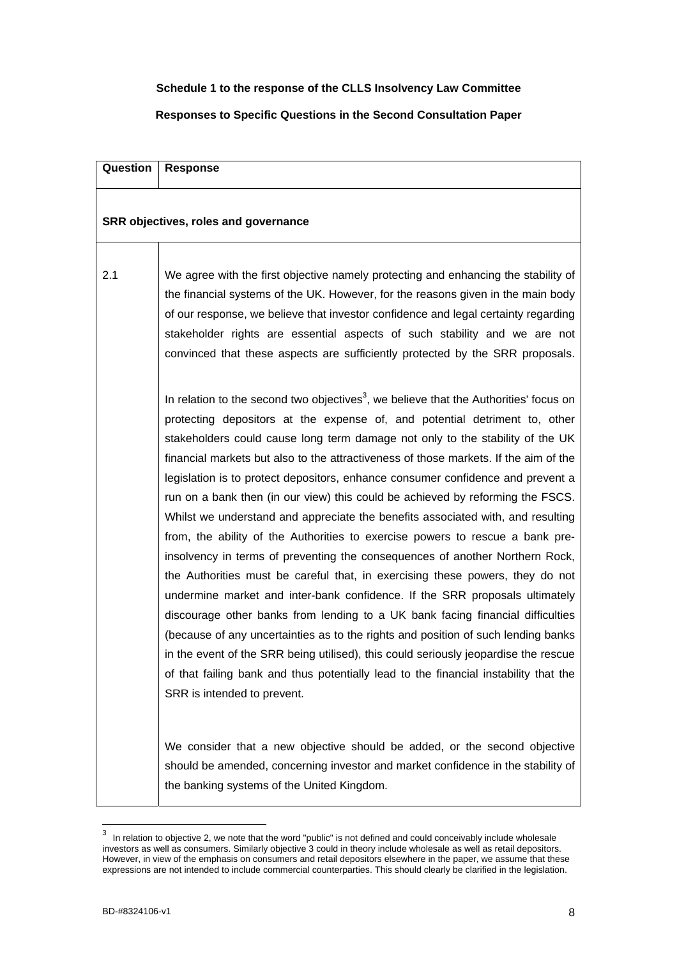## **Schedule 1 to the response of the CLLS Insolvency Law Committee**

## **Responses to Specific Questions in the Second Consultation Paper**

| Question | <b>Response</b>                                                                                                                                                                                                                                                                                                                                                                                                                                                                                                                                                                                                                                                                                                                                                                                                                                                                                                                                                                                                                                                                                                                                                                                                                                                                                                                        |
|----------|----------------------------------------------------------------------------------------------------------------------------------------------------------------------------------------------------------------------------------------------------------------------------------------------------------------------------------------------------------------------------------------------------------------------------------------------------------------------------------------------------------------------------------------------------------------------------------------------------------------------------------------------------------------------------------------------------------------------------------------------------------------------------------------------------------------------------------------------------------------------------------------------------------------------------------------------------------------------------------------------------------------------------------------------------------------------------------------------------------------------------------------------------------------------------------------------------------------------------------------------------------------------------------------------------------------------------------------|
|          | SRR objectives, roles and governance                                                                                                                                                                                                                                                                                                                                                                                                                                                                                                                                                                                                                                                                                                                                                                                                                                                                                                                                                                                                                                                                                                                                                                                                                                                                                                   |
| 2.1      | We agree with the first objective namely protecting and enhancing the stability of<br>the financial systems of the UK. However, for the reasons given in the main body<br>of our response, we believe that investor confidence and legal certainty regarding<br>stakeholder rights are essential aspects of such stability and we are not<br>convinced that these aspects are sufficiently protected by the SRR proposals.                                                                                                                                                                                                                                                                                                                                                                                                                                                                                                                                                                                                                                                                                                                                                                                                                                                                                                             |
|          | In relation to the second two objectives <sup>3</sup> , we believe that the Authorities' focus on<br>protecting depositors at the expense of, and potential detriment to, other<br>stakeholders could cause long term damage not only to the stability of the UK<br>financial markets but also to the attractiveness of those markets. If the aim of the<br>legislation is to protect depositors, enhance consumer confidence and prevent a<br>run on a bank then (in our view) this could be achieved by reforming the FSCS.<br>Whilst we understand and appreciate the benefits associated with, and resulting<br>from, the ability of the Authorities to exercise powers to rescue a bank pre-<br>insolvency in terms of preventing the consequences of another Northern Rock,<br>the Authorities must be careful that, in exercising these powers, they do not<br>undermine market and inter-bank confidence. If the SRR proposals ultimately<br>discourage other banks from lending to a UK bank facing financial difficulties<br>(because of any uncertainties as to the rights and position of such lending banks<br>in the event of the SRR being utilised), this could seriously jeopardise the rescue<br>of that failing bank and thus potentially lead to the financial instability that the<br>SRR is intended to prevent. |
|          | We consider that a new objective should be added, or the second objective<br>should be amended, concerning investor and market confidence in the stability of<br>the banking systems of the United Kingdom.                                                                                                                                                                                                                                                                                                                                                                                                                                                                                                                                                                                                                                                                                                                                                                                                                                                                                                                                                                                                                                                                                                                            |

<span id="page-7-0"></span><sup>&</sup>lt;u>3</u><br><sup>3</sup> In relation to objective 2, we note that the word "public" is not defined and could conceivably include wholesale investors as well as consumers. Similarly objective 3 could in theory include wholesale as well as retail depositors. However, in view of the emphasis on consumers and retail depositors elsewhere in the paper, we assume that these expressions are not intended to include commercial counterparties. This should clearly be clarified in the legislation.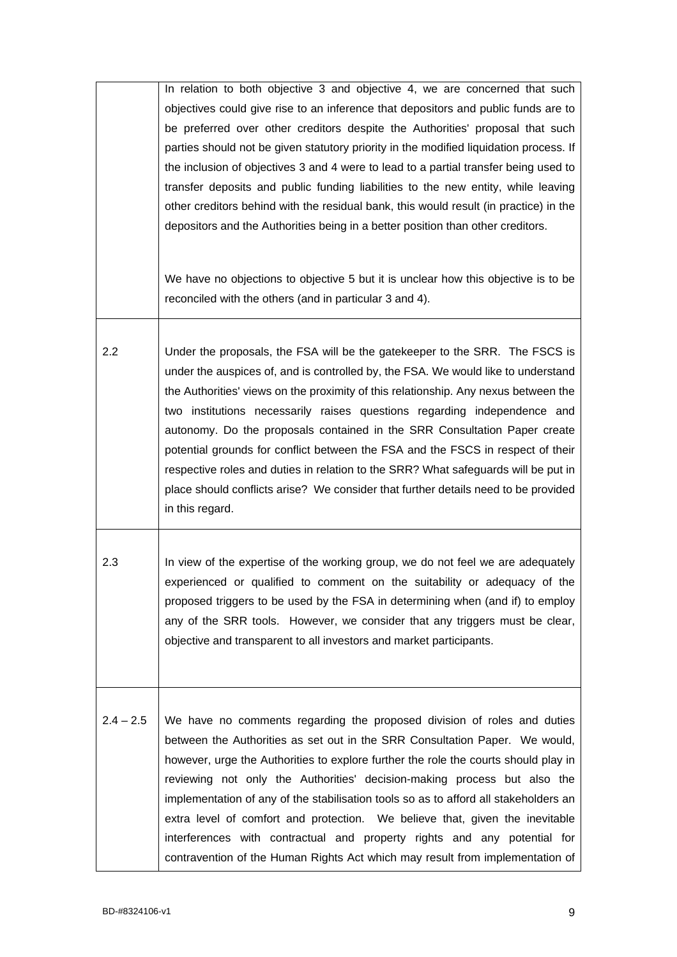|             | In relation to both objective 3 and objective 4, we are concerned that such<br>objectives could give rise to an inference that depositors and public funds are to<br>be preferred over other creditors despite the Authorities' proposal that such<br>parties should not be given statutory priority in the modified liquidation process. If<br>the inclusion of objectives 3 and 4 were to lead to a partial transfer being used to<br>transfer deposits and public funding liabilities to the new entity, while leaving<br>other creditors behind with the residual bank, this would result (in practice) in the<br>depositors and the Authorities being in a better position than other creditors.<br>We have no objections to objective 5 but it is unclear how this objective is to be |
|-------------|---------------------------------------------------------------------------------------------------------------------------------------------------------------------------------------------------------------------------------------------------------------------------------------------------------------------------------------------------------------------------------------------------------------------------------------------------------------------------------------------------------------------------------------------------------------------------------------------------------------------------------------------------------------------------------------------------------------------------------------------------------------------------------------------|
|             | reconciled with the others (and in particular 3 and 4).                                                                                                                                                                                                                                                                                                                                                                                                                                                                                                                                                                                                                                                                                                                                     |
| 2.2         | Under the proposals, the FSA will be the gatekeeper to the SRR. The FSCS is<br>under the auspices of, and is controlled by, the FSA. We would like to understand<br>the Authorities' views on the proximity of this relationship. Any nexus between the<br>two institutions necessarily raises questions regarding independence and<br>autonomy. Do the proposals contained in the SRR Consultation Paper create<br>potential grounds for conflict between the FSA and the FSCS in respect of their<br>respective roles and duties in relation to the SRR? What safeguards will be put in<br>place should conflicts arise? We consider that further details need to be provided<br>in this regard.                                                                                          |
| 2.3         | In view of the expertise of the working group, we do not feel we are adequately<br>experienced or qualified to comment on the suitability or adequacy of the<br>proposed triggers to be used by the FSA in determining when (and if) to employ<br>any of the SRR tools. However, we consider that any triggers must be clear,<br>objective and transparent to all investors and market participants.                                                                                                                                                                                                                                                                                                                                                                                        |
| $2.4 - 2.5$ | We have no comments regarding the proposed division of roles and duties<br>between the Authorities as set out in the SRR Consultation Paper. We would,<br>however, urge the Authorities to explore further the role the courts should play in<br>reviewing not only the Authorities' decision-making process but also the<br>implementation of any of the stabilisation tools so as to afford all stakeholders an<br>extra level of comfort and protection. We believe that, given the inevitable<br>interferences with contractual and property rights and any potential for<br>contravention of the Human Rights Act which may result from implementation of                                                                                                                              |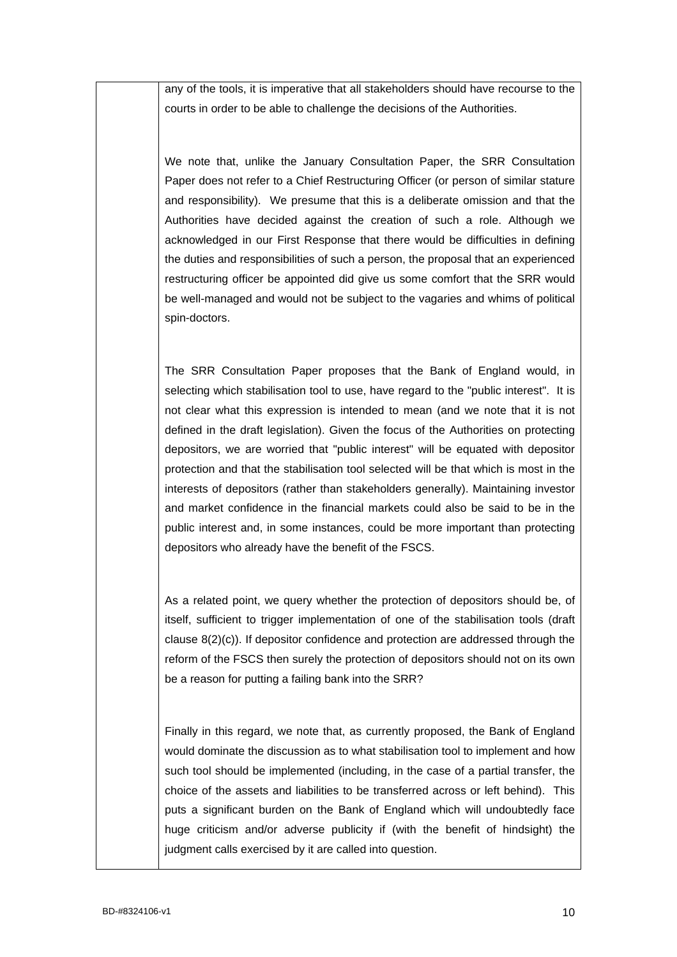any of the tools, it is imperative that all stakeholders should have recourse to the courts in order to be able to challenge the decisions of the Authorities.

We note that, unlike the January Consultation Paper, the SRR Consultation Paper does not refer to a Chief Restructuring Officer (or person of similar stature and responsibility). We presume that this is a deliberate omission and that the Authorities have decided against the creation of such a role. Although we acknowledged in our First Response that there would be difficulties in defining the duties and responsibilities of such a person, the proposal that an experienced restructuring officer be appointed did give us some comfort that the SRR would be well-managed and would not be subject to the vagaries and whims of political spin-doctors.

The SRR Consultation Paper proposes that the Bank of England would, in selecting which stabilisation tool to use, have regard to the "public interest". It is not clear what this expression is intended to mean (and we note that it is not defined in the draft legislation). Given the focus of the Authorities on protecting depositors, we are worried that "public interest" will be equated with depositor protection and that the stabilisation tool selected will be that which is most in the interests of depositors (rather than stakeholders generally). Maintaining investor and market confidence in the financial markets could also be said to be in the public interest and, in some instances, could be more important than protecting depositors who already have the benefit of the FSCS.

As a related point, we query whether the protection of depositors should be, of itself, sufficient to trigger implementation of one of the stabilisation tools (draft clause 8(2)(c)). If depositor confidence and protection are addressed through the reform of the FSCS then surely the protection of depositors should not on its own be a reason for putting a failing bank into the SRR?

Finally in this regard, we note that, as currently proposed, the Bank of England would dominate the discussion as to what stabilisation tool to implement and how such tool should be implemented (including, in the case of a partial transfer, the choice of the assets and liabilities to be transferred across or left behind). This puts a significant burden on the Bank of England which will undoubtedly face huge criticism and/or adverse publicity if (with the benefit of hindsight) the judgment calls exercised by it are called into question.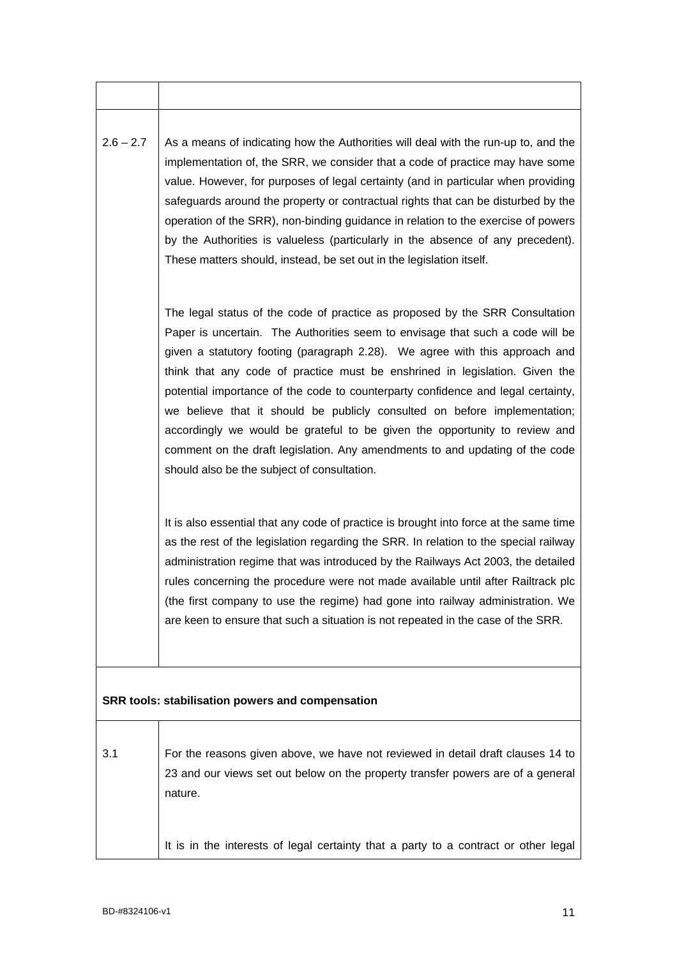| $2.6 - 2.7$ | As a means of indicating how the Authorities will deal with the run-up to, and the |
|-------------|------------------------------------------------------------------------------------|
|             | implementation of, the SRR, we consider that a code of practice may have some      |
|             | value. However, for purposes of legal certainty (and in particular when providing  |
|             | safeguards around the property or contractual rights that can be disturbed by the  |
|             | operation of the SRR), non-binding guidance in relation to the exercise of powers  |
|             | by the Authorities is valueless (particularly in the absence of any precedent).    |
|             | These matters should, instead, be set out in the legislation itself.               |
|             |                                                                                    |
|             |                                                                                    |
|             | The legal status of the code of practice as proposed by the SRR Consultation       |
|             |                                                                                    |

Paper is uncertain. The Authorities seem to envisage that such a code will be given a statutory footing (paragraph 2.28). We agree with this approach and think that any code of practice must be enshrined in legislation. Given the potential importance of the code to counterparty confidence and legal certainty, we believe that it should be publicly consulted on before implementation; accordingly we would be grateful to be given the opportunity to review and comment on the draft legislation. Any amendments to and updating of the code should also be the subject of consultation.

It is also essential that any code of practice is brought into force at the same time as the rest of the legislation regarding the SRR. In relation to the special railway administration regime that was introduced by the Railways Act 2003, the detailed rules concerning the procedure were not made available until after Railtrack plc (the first company to use the regime) had gone into railway administration. We are keen to ensure that such a situation is not repeated in the case of the SRR.

## **SRR tools: stabilisation powers and compensation**

| 3.1 | For the reasons given above, we have not reviewed in detail draft clauses 14 to     |
|-----|-------------------------------------------------------------------------------------|
|     | 23 and our views set out below on the property transfer powers are of a general     |
|     | nature.                                                                             |
|     |                                                                                     |
|     |                                                                                     |
|     | It is in the interests of legal certainty that a party to a contract or other legal |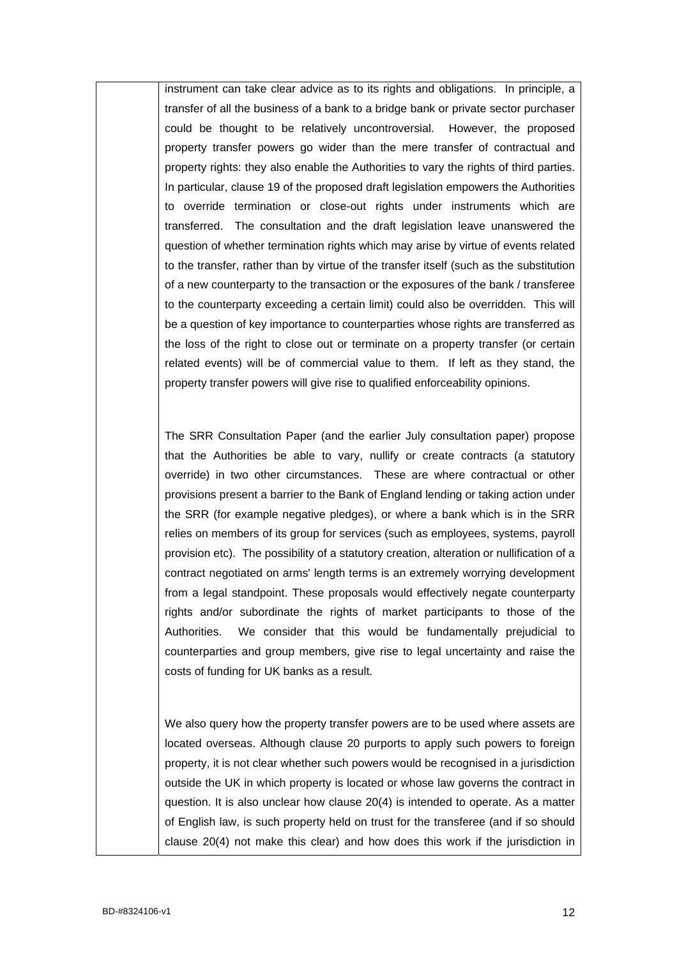instrument can take clear advice as to its rights and obligations. In principle, a transfer of all the business of a bank to a bridge bank or private sector purchaser could be thought to be relatively uncontroversial. However, the proposed property transfer powers go wider than the mere transfer of contractual and property rights: they also enable the Authorities to vary the rights of third parties. In particular, clause 19 of the proposed draft legislation empowers the Authorities to override termination or close-out rights under instruments which are transferred. The consultation and the draft legislation leave unanswered the question of whether termination rights which may arise by virtue of events related to the transfer, rather than by virtue of the transfer itself (such as the substitution of a new counterparty to the transaction or the exposures of the bank / transferee to the counterparty exceeding a certain limit) could also be overridden. This will be a question of key importance to counterparties whose rights are transferred as the loss of the right to close out or terminate on a property transfer (or certain related events) will be of commercial value to them. If left as they stand, the property transfer powers will give rise to qualified enforceability opinions.

The SRR Consultation Paper (and the earlier July consultation paper) propose that the Authorities be able to vary, nullify or create contracts (a statutory override) in two other circumstances. These are where contractual or other provisions present a barrier to the Bank of England lending or taking action under the SRR (for example negative pledges), or where a bank which is in the SRR relies on members of its group for services (such as employees, systems, payroll provision etc). The possibility of a statutory creation, alteration or nullification of a contract negotiated on arms' length terms is an extremely worrying development from a legal standpoint. These proposals would effectively negate counterparty rights and/or subordinate the rights of market participants to those of the Authorities. We consider that this would be fundamentally prejudicial to counterparties and group members, give rise to legal uncertainty and raise the costs of funding for UK banks as a result.

We also query how the property transfer powers are to be used where assets are located overseas. Although clause 20 purports to apply such powers to foreign property, it is not clear whether such powers would be recognised in a jurisdiction outside the UK in which property is located or whose law governs the contract in question. It is also unclear how clause 20(4) is intended to operate. As a matter of English law, is such property held on trust for the transferee (and if so should clause 20(4) not make this clear) and how does this work if the jurisdiction in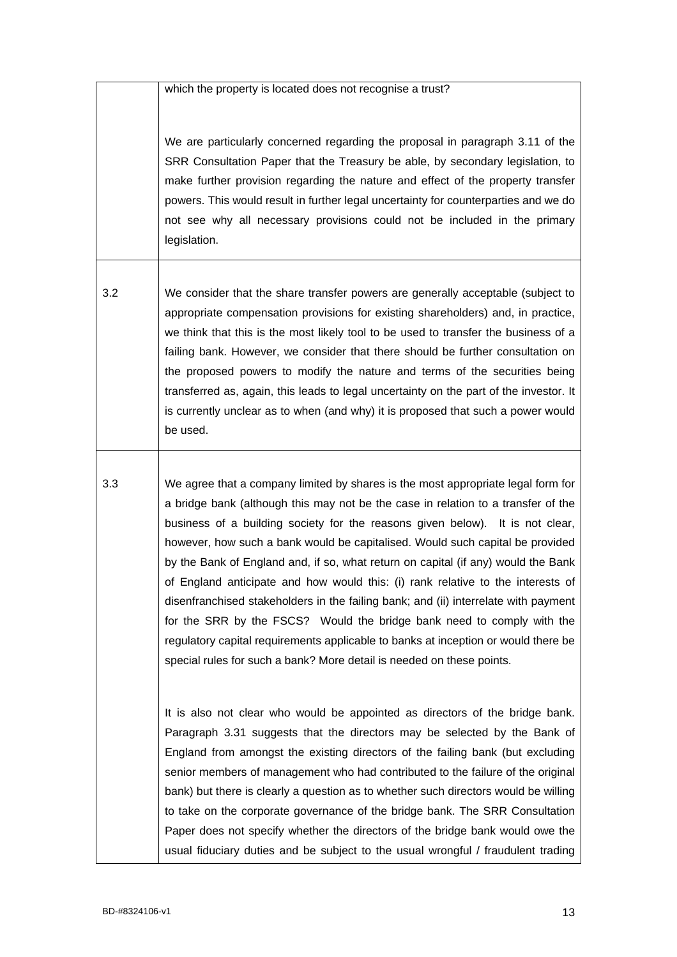which the property is located does not recognise a trust?

We are particularly concerned regarding the proposal in paragraph 3.11 of the SRR Consultation Paper that the Treasury be able, by secondary legislation, to make further provision regarding the nature and effect of the property transfer powers. This would result in further legal uncertainty for counterparties and we do not see why all necessary provisions could not be included in the primary legislation.

3.2 We consider that the share transfer powers are generally acceptable (subject to appropriate compensation provisions for existing shareholders) and, in practice, we think that this is the most likely tool to be used to transfer the business of a failing bank. However, we consider that there should be further consultation on the proposed powers to modify the nature and terms of the securities being transferred as, again, this leads to legal uncertainty on the part of the investor. It is currently unclear as to when (and why) it is proposed that such a power would be used.

3.3 We agree that a company limited by shares is the most appropriate legal form for a bridge bank (although this may not be the case in relation to a transfer of the business of a building society for the reasons given below). It is not clear, however, how such a bank would be capitalised. Would such capital be provided by the Bank of England and, if so, what return on capital (if any) would the Bank of England anticipate and how would this: (i) rank relative to the interests of disenfranchised stakeholders in the failing bank; and (ii) interrelate with payment for the SRR by the FSCS? Would the bridge bank need to comply with the regulatory capital requirements applicable to banks at inception or would there be special rules for such a bank? More detail is needed on these points.

> It is also not clear who would be appointed as directors of the bridge bank. Paragraph 3.31 suggests that the directors may be selected by the Bank of England from amongst the existing directors of the failing bank (but excluding senior members of management who had contributed to the failure of the original bank) but there is clearly a question as to whether such directors would be willing to take on the corporate governance of the bridge bank. The SRR Consultation Paper does not specify whether the directors of the bridge bank would owe the usual fiduciary duties and be subject to the usual wrongful / fraudulent trading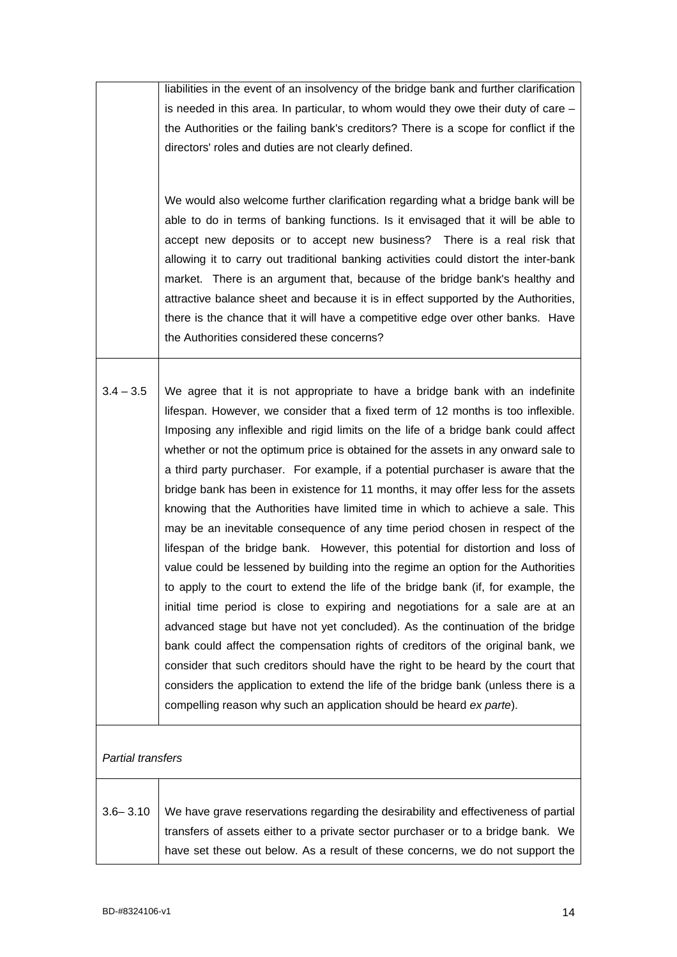|                   | liabilities in the event of an insolvency of the bridge bank and further clarification<br>is needed in this area. In particular, to whom would they owe their duty of care $-$<br>the Authorities or the failing bank's creditors? There is a scope for conflict if the<br>directors' roles and duties are not clearly defined.<br>We would also welcome further clarification regarding what a bridge bank will be<br>able to do in terms of banking functions. Is it envisaged that it will be able to<br>accept new deposits or to accept new business? There is a real risk that<br>allowing it to carry out traditional banking activities could distort the inter-bank<br>market. There is an argument that, because of the bridge bank's healthy and<br>attractive balance sheet and because it is in effect supported by the Authorities,<br>there is the chance that it will have a competitive edge over other banks. Have                                                                                                                                                                                                                                                                                                                                                                                                                                                                                                                         |
|-------------------|--------------------------------------------------------------------------------------------------------------------------------------------------------------------------------------------------------------------------------------------------------------------------------------------------------------------------------------------------------------------------------------------------------------------------------------------------------------------------------------------------------------------------------------------------------------------------------------------------------------------------------------------------------------------------------------------------------------------------------------------------------------------------------------------------------------------------------------------------------------------------------------------------------------------------------------------------------------------------------------------------------------------------------------------------------------------------------------------------------------------------------------------------------------------------------------------------------------------------------------------------------------------------------------------------------------------------------------------------------------------------------------------------------------------------------------------------------------|
|                   | the Authorities considered these concerns?                                                                                                                                                                                                                                                                                                                                                                                                                                                                                                                                                                                                                                                                                                                                                                                                                                                                                                                                                                                                                                                                                                                                                                                                                                                                                                                                                                                                                   |
| $3.4 - 3.5$       | We agree that it is not appropriate to have a bridge bank with an indefinite<br>lifespan. However, we consider that a fixed term of 12 months is too inflexible.<br>Imposing any inflexible and rigid limits on the life of a bridge bank could affect<br>whether or not the optimum price is obtained for the assets in any onward sale to<br>a third party purchaser. For example, if a potential purchaser is aware that the<br>bridge bank has been in existence for 11 months, it may offer less for the assets<br>knowing that the Authorities have limited time in which to achieve a sale. This<br>may be an inevitable consequence of any time period chosen in respect of the<br>lifespan of the bridge bank. However, this potential for distortion and loss of<br>value could be lessened by building into the regime an option for the Authorities<br>to apply to the court to extend the life of the bridge bank (if, for example, the<br>initial time period is close to expiring and negotiations for a sale are at an<br>advanced stage but have not yet concluded). As the continuation of the bridge<br>bank could affect the compensation rights of creditors of the original bank, we<br>consider that such creditors should have the right to be heard by the court that<br>considers the application to extend the life of the bridge bank (unless there is a<br>compelling reason why such an application should be heard ex parte). |
| Partial transfers |                                                                                                                                                                                                                                                                                                                                                                                                                                                                                                                                                                                                                                                                                                                                                                                                                                                                                                                                                                                                                                                                                                                                                                                                                                                                                                                                                                                                                                                              |
| $3.6 - 3.10$      | We have grave reservations regarding the desirability and effectiveness of partial<br>transfers of assets either to a private sector purchaser or to a bridge bank. We<br>have set these out below. As a result of these concerns, we do not support the                                                                                                                                                                                                                                                                                                                                                                                                                                                                                                                                                                                                                                                                                                                                                                                                                                                                                                                                                                                                                                                                                                                                                                                                     |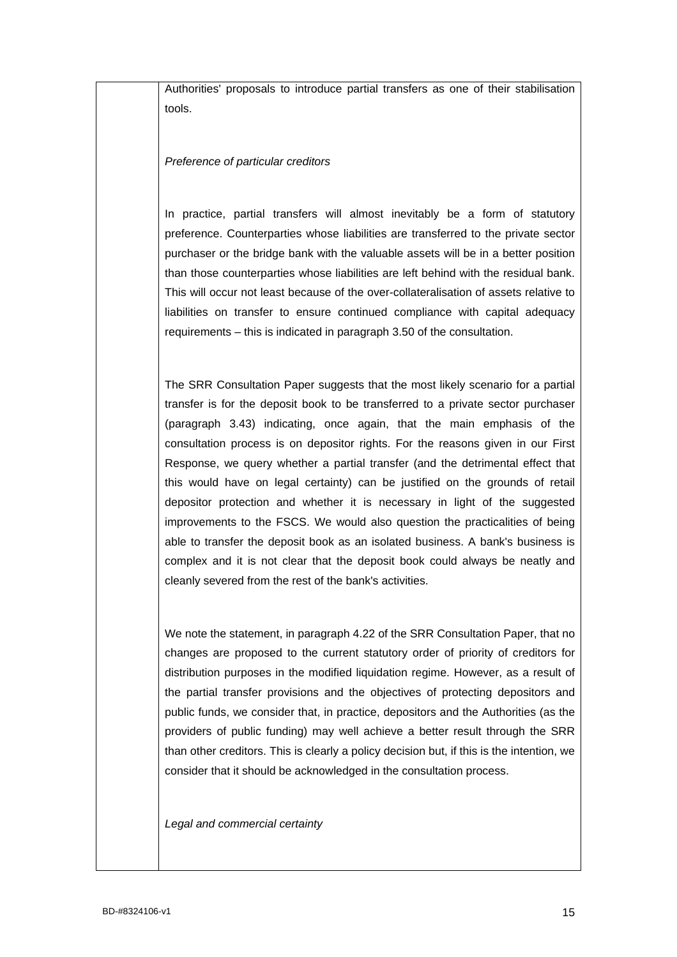Authorities' proposals to introduce partial transfers as one of their stabilisation tools.

## *Preference of particular creditors*

In practice, partial transfers will almost inevitably be a form of statutory preference. Counterparties whose liabilities are transferred to the private sector purchaser or the bridge bank with the valuable assets will be in a better position than those counterparties whose liabilities are left behind with the residual bank. This will occur not least because of the over-collateralisation of assets relative to liabilities on transfer to ensure continued compliance with capital adequacy requirements – this is indicated in paragraph 3.50 of the consultation.

The SRR Consultation Paper suggests that the most likely scenario for a partial transfer is for the deposit book to be transferred to a private sector purchaser (paragraph 3.43) indicating, once again, that the main emphasis of the consultation process is on depositor rights. For the reasons given in our First Response, we query whether a partial transfer (and the detrimental effect that this would have on legal certainty) can be justified on the grounds of retail depositor protection and whether it is necessary in light of the suggested improvements to the FSCS. We would also question the practicalities of being able to transfer the deposit book as an isolated business. A bank's business is complex and it is not clear that the deposit book could always be neatly and cleanly severed from the rest of the bank's activities.

We note the statement, in paragraph 4.22 of the SRR Consultation Paper, that no changes are proposed to the current statutory order of priority of creditors for distribution purposes in the modified liquidation regime. However, as a result of the partial transfer provisions and the objectives of protecting depositors and public funds, we consider that, in practice, depositors and the Authorities (as the providers of public funding) may well achieve a better result through the SRR than other creditors. This is clearly a policy decision but, if this is the intention, we consider that it should be acknowledged in the consultation process.

*Legal and commercial certainty*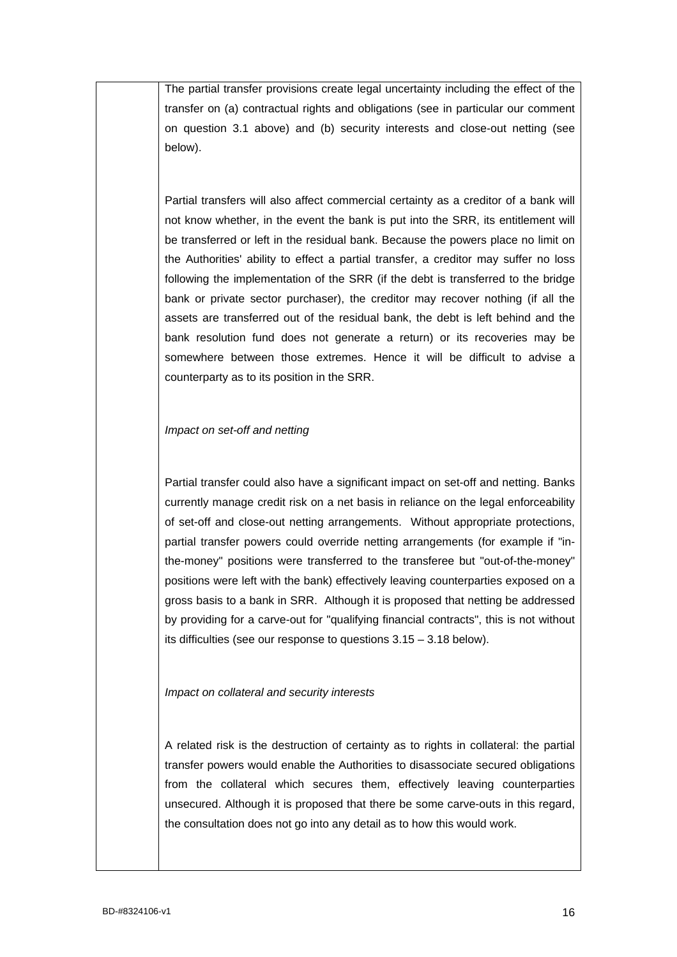The partial transfer provisions create legal uncertainty including the effect of the transfer on (a) contractual rights and obligations (see in particular our comment on question 3.1 above) and (b) security interests and close-out netting (see below).

Partial transfers will also affect commercial certainty as a creditor of a bank will not know whether, in the event the bank is put into the SRR, its entitlement will be transferred or left in the residual bank. Because the powers place no limit on the Authorities' ability to effect a partial transfer, a creditor may suffer no loss following the implementation of the SRR (if the debt is transferred to the bridge bank or private sector purchaser), the creditor may recover nothing (if all the assets are transferred out of the residual bank, the debt is left behind and the bank resolution fund does not generate a return) or its recoveries may be somewhere between those extremes. Hence it will be difficult to advise a counterparty as to its position in the SRR.

#### *Impact on set-off and netting*

Partial transfer could also have a significant impact on set-off and netting. Banks currently manage credit risk on a net basis in reliance on the legal enforceability of set-off and close-out netting arrangements. Without appropriate protections, partial transfer powers could override netting arrangements (for example if "inthe-money" positions were transferred to the transferee but "out-of-the-money" positions were left with the bank) effectively leaving counterparties exposed on a gross basis to a bank in SRR. Although it is proposed that netting be addressed by providing for a carve-out for "qualifying financial contracts", this is not without its difficulties (see our response to questions 3.15 – 3.18 below).

## *Impact on collateral and security interests*

A related risk is the destruction of certainty as to rights in collateral: the partial transfer powers would enable the Authorities to disassociate secured obligations from the collateral which secures them, effectively leaving counterparties unsecured. Although it is proposed that there be some carve-outs in this regard, the consultation does not go into any detail as to how this would work.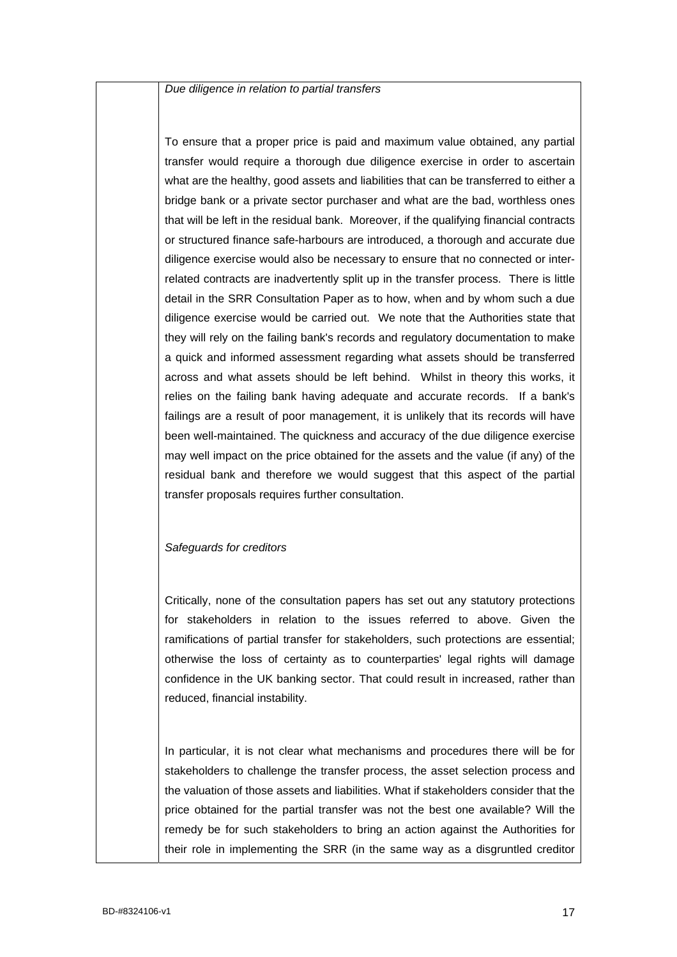*Due diligence in relation to partial transfers*

To ensure that a proper price is paid and maximum value obtained, any partial transfer would require a thorough due diligence exercise in order to ascertain what are the healthy, good assets and liabilities that can be transferred to either a bridge bank or a private sector purchaser and what are the bad, worthless ones that will be left in the residual bank. Moreover, if the qualifying financial contracts or structured finance safe-harbours are introduced, a thorough and accurate due diligence exercise would also be necessary to ensure that no connected or interrelated contracts are inadvertently split up in the transfer process. There is little detail in the SRR Consultation Paper as to how, when and by whom such a due diligence exercise would be carried out. We note that the Authorities state that they will rely on the failing bank's records and regulatory documentation to make a quick and informed assessment regarding what assets should be transferred across and what assets should be left behind. Whilst in theory this works, it relies on the failing bank having adequate and accurate records. If a bank's failings are a result of poor management, it is unlikely that its records will have been well-maintained. The quickness and accuracy of the due diligence exercise may well impact on the price obtained for the assets and the value (if any) of the residual bank and therefore we would suggest that this aspect of the partial transfer proposals requires further consultation.

#### *Safeguards for creditors*

Critically, none of the consultation papers has set out any statutory protections for stakeholders in relation to the issues referred to above. Given the ramifications of partial transfer for stakeholders, such protections are essential; otherwise the loss of certainty as to counterparties' legal rights will damage confidence in the UK banking sector. That could result in increased, rather than reduced, financial instability.

In particular, it is not clear what mechanisms and procedures there will be for stakeholders to challenge the transfer process, the asset selection process and the valuation of those assets and liabilities. What if stakeholders consider that the price obtained for the partial transfer was not the best one available? Will the remedy be for such stakeholders to bring an action against the Authorities for their role in implementing the SRR (in the same way as a disgruntled creditor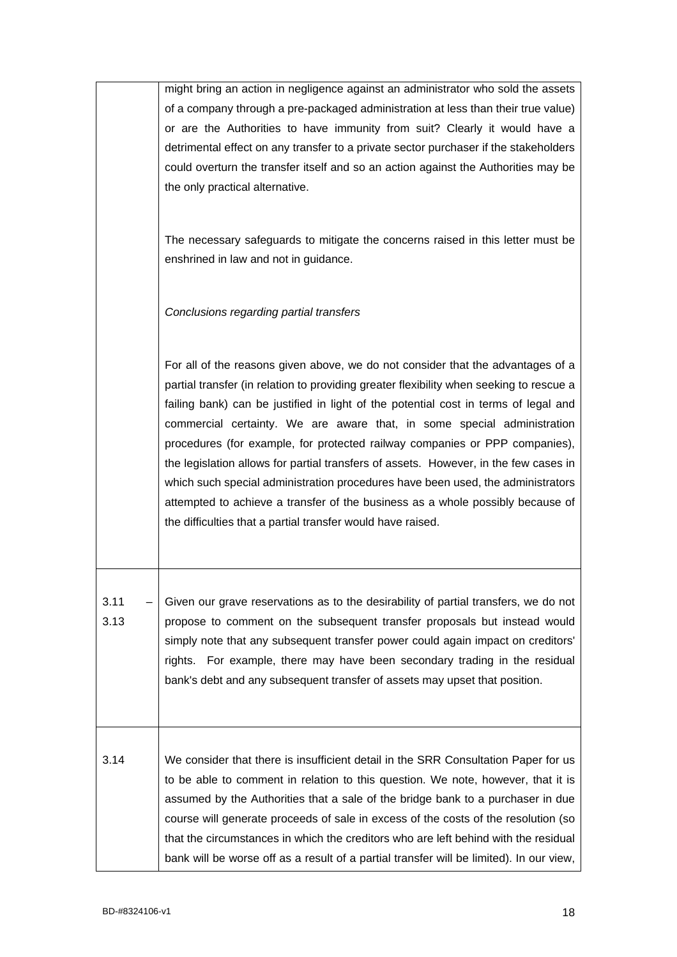|      | might bring an action in negligence against an administrator who sold the assets        |
|------|-----------------------------------------------------------------------------------------|
|      | of a company through a pre-packaged administration at less than their true value)       |
|      | or are the Authorities to have immunity from suit? Clearly it would have a              |
|      | detrimental effect on any transfer to a private sector purchaser if the stakeholders    |
|      | could overturn the transfer itself and so an action against the Authorities may be      |
|      | the only practical alternative.                                                         |
|      |                                                                                         |
|      |                                                                                         |
|      | The necessary safeguards to mitigate the concerns raised in this letter must be         |
|      | enshrined in law and not in guidance.                                                   |
|      |                                                                                         |
|      |                                                                                         |
|      | Conclusions regarding partial transfers                                                 |
|      |                                                                                         |
|      | For all of the reasons given above, we do not consider that the advantages of a         |
|      | partial transfer (in relation to providing greater flexibility when seeking to rescue a |
|      | failing bank) can be justified in light of the potential cost in terms of legal and     |
|      | commercial certainty. We are aware that, in some special administration                 |
|      |                                                                                         |
|      | procedures (for example, for protected railway companies or PPP companies),             |
|      | the legislation allows for partial transfers of assets. However, in the few cases in    |
|      | which such special administration procedures have been used, the administrators         |
|      | attempted to achieve a transfer of the business as a whole possibly because of          |
|      | the difficulties that a partial transfer would have raised.                             |
|      |                                                                                         |
|      |                                                                                         |
|      |                                                                                         |
| 3.11 | Given our grave reservations as to the desirability of partial transfers, we do not     |
| 3.13 | propose to comment on the subsequent transfer proposals but instead would               |
|      | simply note that any subsequent transfer power could again impact on creditors'         |
|      | rights. For example, there may have been secondary trading in the residual              |
|      | bank's debt and any subsequent transfer of assets may upset that position.              |
|      |                                                                                         |
|      |                                                                                         |
|      |                                                                                         |
| 3.14 | We consider that there is insufficient detail in the SRR Consultation Paper for us      |
|      | to be able to comment in relation to this question. We note, however, that it is        |
|      | assumed by the Authorities that a sale of the bridge bank to a purchaser in due         |
|      | course will generate proceeds of sale in excess of the costs of the resolution (so      |
|      | that the circumstances in which the creditors who are left behind with the residual     |
|      | bank will be worse off as a result of a partial transfer will be limited). In our view, |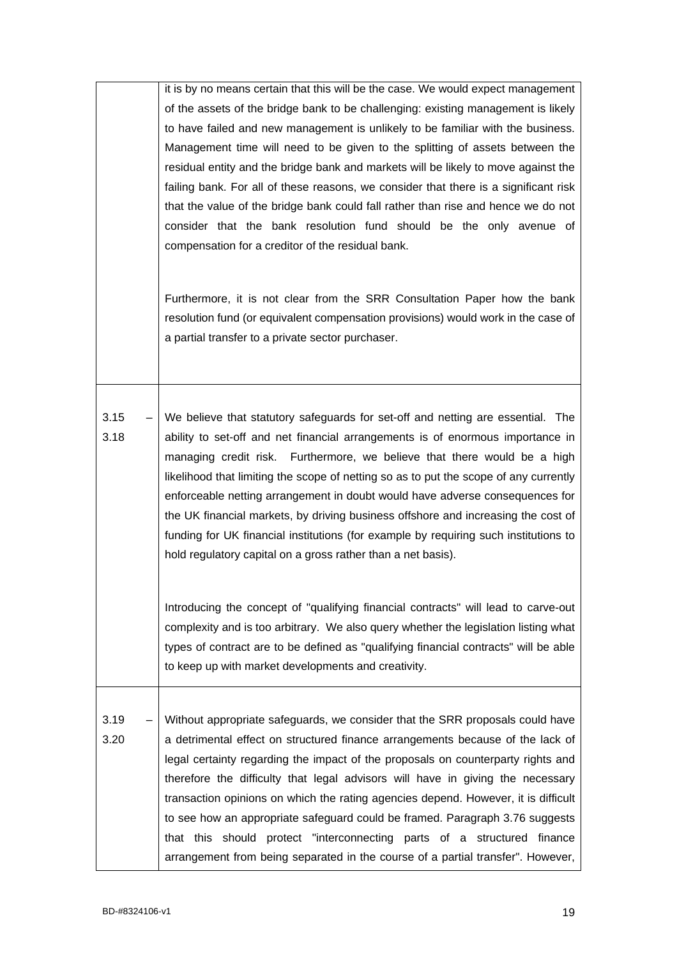|              | it is by no means certain that this will be the case. We would expect management<br>of the assets of the bridge bank to be challenging: existing management is likely<br>to have failed and new management is unlikely to be familiar with the business.<br>Management time will need to be given to the splitting of assets between the<br>residual entity and the bridge bank and markets will be likely to move against the<br>failing bank. For all of these reasons, we consider that there is a significant risk<br>that the value of the bridge bank could fall rather than rise and hence we do not<br>consider that the bank resolution fund should be the only avenue of<br>compensation for a creditor of the residual bank.<br>Furthermore, it is not clear from the SRR Consultation Paper how the bank<br>resolution fund (or equivalent compensation provisions) would work in the case of<br>a partial transfer to a private sector purchaser. |
|--------------|----------------------------------------------------------------------------------------------------------------------------------------------------------------------------------------------------------------------------------------------------------------------------------------------------------------------------------------------------------------------------------------------------------------------------------------------------------------------------------------------------------------------------------------------------------------------------------------------------------------------------------------------------------------------------------------------------------------------------------------------------------------------------------------------------------------------------------------------------------------------------------------------------------------------------------------------------------------|
| 3.15<br>3.18 | $-$ We believe that statutory safeguards for set-off and netting are essential. The<br>ability to set-off and net financial arrangements is of enormous importance in<br>managing credit risk. Furthermore, we believe that there would be a high<br>likelihood that limiting the scope of netting so as to put the scope of any currently<br>enforceable netting arrangement in doubt would have adverse consequences for<br>the UK financial markets, by driving business offshore and increasing the cost of<br>funding for UK financial institutions (for example by requiring such institutions to<br>hold regulatory capital on a gross rather than a net basis).                                                                                                                                                                                                                                                                                        |
|              | Introducing the concept of "qualifying financial contracts" will lead to carve-out<br>complexity and is too arbitrary. We also query whether the legislation listing what<br>types of contract are to be defined as "qualifying financial contracts" will be able<br>to keep up with market developments and creativity.                                                                                                                                                                                                                                                                                                                                                                                                                                                                                                                                                                                                                                       |
| 3.19<br>3.20 | Without appropriate safeguards, we consider that the SRR proposals could have<br>a detrimental effect on structured finance arrangements because of the lack of<br>legal certainty regarding the impact of the proposals on counterparty rights and<br>therefore the difficulty that legal advisors will have in giving the necessary<br>transaction opinions on which the rating agencies depend. However, it is difficult<br>to see how an appropriate safeguard could be framed. Paragraph 3.76 suggests<br>that this should protect "interconnecting parts of a structured finance<br>arrangement from being separated in the course of a partial transfer". However,                                                                                                                                                                                                                                                                                      |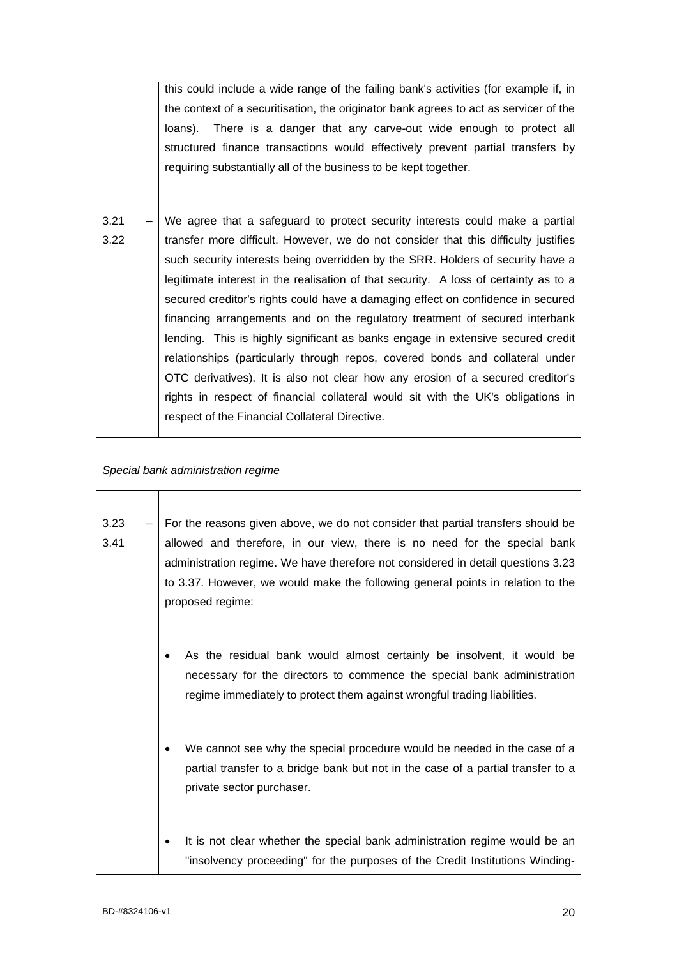|              | this could include a wide range of the failing bank's activities (for example if, in                                                                                                                                                              |
|--------------|---------------------------------------------------------------------------------------------------------------------------------------------------------------------------------------------------------------------------------------------------|
|              | the context of a securitisation, the originator bank agrees to act as servicer of the                                                                                                                                                             |
|              | There is a danger that any carve-out wide enough to protect all<br>loans).                                                                                                                                                                        |
|              | structured finance transactions would effectively prevent partial transfers by                                                                                                                                                                    |
|              | requiring substantially all of the business to be kept together.                                                                                                                                                                                  |
|              |                                                                                                                                                                                                                                                   |
|              |                                                                                                                                                                                                                                                   |
| 3.21         | We agree that a safeguard to protect security interests could make a partial                                                                                                                                                                      |
| 3.22         | transfer more difficult. However, we do not consider that this difficulty justifies                                                                                                                                                               |
|              | such security interests being overridden by the SRR. Holders of security have a                                                                                                                                                                   |
|              | legitimate interest in the realisation of that security. A loss of certainty as to a                                                                                                                                                              |
|              | secured creditor's rights could have a damaging effect on confidence in secured                                                                                                                                                                   |
|              | financing arrangements and on the regulatory treatment of secured interbank                                                                                                                                                                       |
|              | lending. This is highly significant as banks engage in extensive secured credit                                                                                                                                                                   |
|              | relationships (particularly through repos, covered bonds and collateral under                                                                                                                                                                     |
|              | OTC derivatives). It is also not clear how any erosion of a secured creditor's                                                                                                                                                                    |
|              |                                                                                                                                                                                                                                                   |
|              | rights in respect of financial collateral would sit with the UK's obligations in                                                                                                                                                                  |
|              | respect of the Financial Collateral Directive.                                                                                                                                                                                                    |
|              | Special bank administration regime                                                                                                                                                                                                                |
| 3.23<br>3.41 | For the reasons given above, we do not consider that partial transfers should be<br>allowed and therefore, in our view, there is no need for the special bank<br>administration regime. We have therefore not considered in detail questions 3.23 |
|              | to 3.37. However, we would make the following general points in relation to the<br>proposed regime:                                                                                                                                               |
|              | As the residual bank would almost certainly be insolvent, it would be<br>necessary for the directors to commence the special bank administration<br>regime immediately to protect them against wrongful trading liabilities.                      |
|              | We cannot see why the special procedure would be needed in the case of a<br>partial transfer to a bridge bank but not in the case of a partial transfer to a<br>private sector purchaser.                                                         |
|              | It is not clear whether the special bank administration regime would be an                                                                                                                                                                        |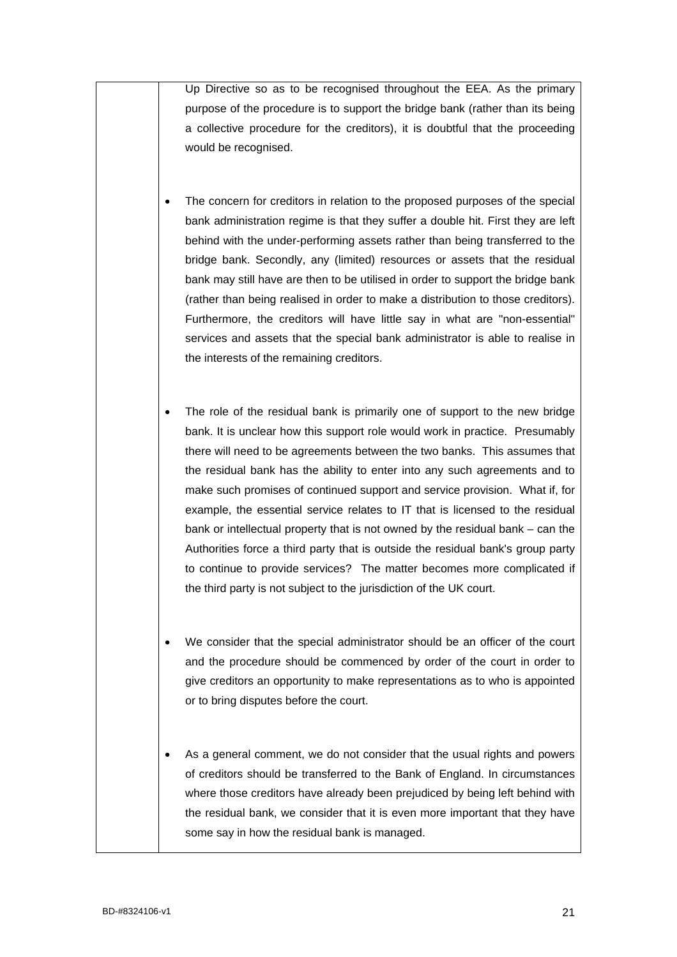Up Directive so as to be recognised throughout the EEA. As the primary purpose of the procedure is to support the bridge bank (rather than its being a collective procedure for the creditors), it is doubtful that the proceeding would be recognised.

- The concern for creditors in relation to the proposed purposes of the special bank administration regime is that they suffer a double hit. First they are left behind with the under-performing assets rather than being transferred to the bridge bank. Secondly, any (limited) resources or assets that the residual bank may still have are then to be utilised in order to support the bridge bank (rather than being realised in order to make a distribution to those creditors). Furthermore, the creditors will have little say in what are "non-essential" services and assets that the special bank administrator is able to realise in the interests of the remaining creditors.
- The role of the residual bank is primarily one of support to the new bridge bank. It is unclear how this support role would work in practice. Presumably there will need to be agreements between the two banks. This assumes that the residual bank has the ability to enter into any such agreements and to make such promises of continued support and service provision. What if, for example, the essential service relates to IT that is licensed to the residual bank or intellectual property that is not owned by the residual bank – can the Authorities force a third party that is outside the residual bank's group party to continue to provide services? The matter becomes more complicated if the third party is not subject to the jurisdiction of the UK court.
- We consider that the special administrator should be an officer of the court and the procedure should be commenced by order of the court in order to give creditors an opportunity to make representations as to who is appointed or to bring disputes before the court.
- As a general comment, we do not consider that the usual rights and powers of creditors should be transferred to the Bank of England. In circumstances where those creditors have already been prejudiced by being left behind with the residual bank, we consider that it is even more important that they have some say in how the residual bank is managed.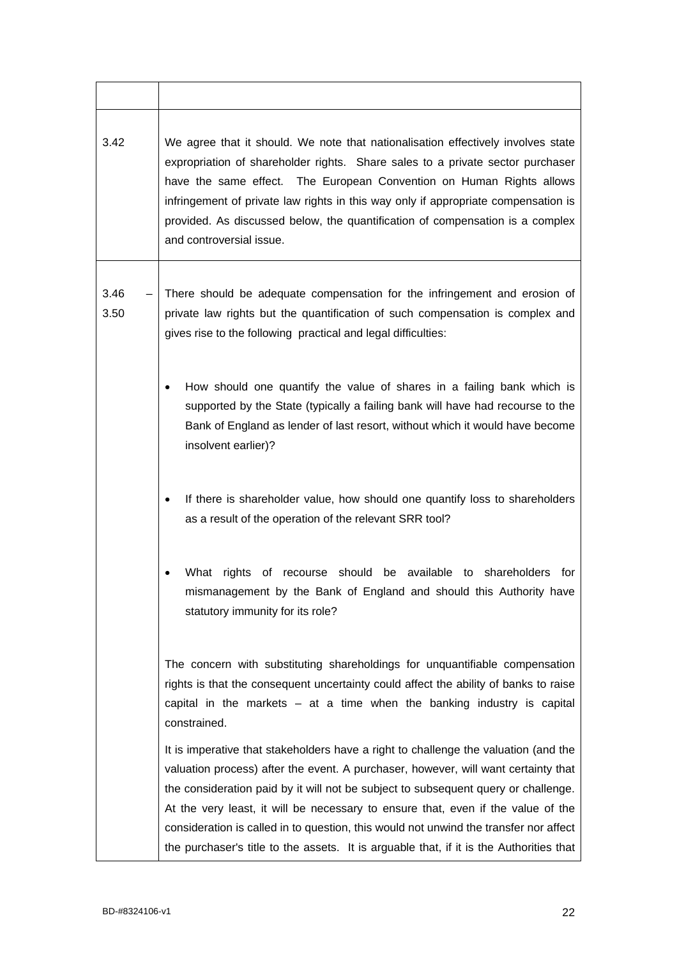| 3.42         | We agree that it should. We note that nationalisation effectively involves state<br>expropriation of shareholder rights. Share sales to a private sector purchaser<br>have the same effect. The European Convention on Human Rights allows<br>infringement of private law rights in this way only if appropriate compensation is<br>provided. As discussed below, the quantification of compensation is a complex<br>and controversial issue.                                                                                           |
|--------------|-----------------------------------------------------------------------------------------------------------------------------------------------------------------------------------------------------------------------------------------------------------------------------------------------------------------------------------------------------------------------------------------------------------------------------------------------------------------------------------------------------------------------------------------|
| 3.46<br>3.50 | There should be adequate compensation for the infringement and erosion of<br>private law rights but the quantification of such compensation is complex and<br>gives rise to the following practical and legal difficulties:                                                                                                                                                                                                                                                                                                             |
|              | How should one quantify the value of shares in a failing bank which is<br>$\bullet$<br>supported by the State (typically a failing bank will have had recourse to the<br>Bank of England as lender of last resort, without which it would have become<br>insolvent earlier)?                                                                                                                                                                                                                                                            |
|              | If there is shareholder value, how should one quantify loss to shareholders<br>as a result of the operation of the relevant SRR tool?                                                                                                                                                                                                                                                                                                                                                                                                   |
|              | What rights of recourse should be available to shareholders<br>for<br>mismanagement by the Bank of England and should this Authority have<br>statutory immunity for its role?                                                                                                                                                                                                                                                                                                                                                           |
|              | The concern with substituting shareholdings for unquantifiable compensation<br>rights is that the consequent uncertainty could affect the ability of banks to raise<br>capital in the markets $-$ at a time when the banking industry is capital<br>constrained.                                                                                                                                                                                                                                                                        |
|              | It is imperative that stakeholders have a right to challenge the valuation (and the<br>valuation process) after the event. A purchaser, however, will want certainty that<br>the consideration paid by it will not be subject to subsequent query or challenge.<br>At the very least, it will be necessary to ensure that, even if the value of the<br>consideration is called in to question, this would not unwind the transfer nor affect<br>the purchaser's title to the assets. It is arguable that, if it is the Authorities that |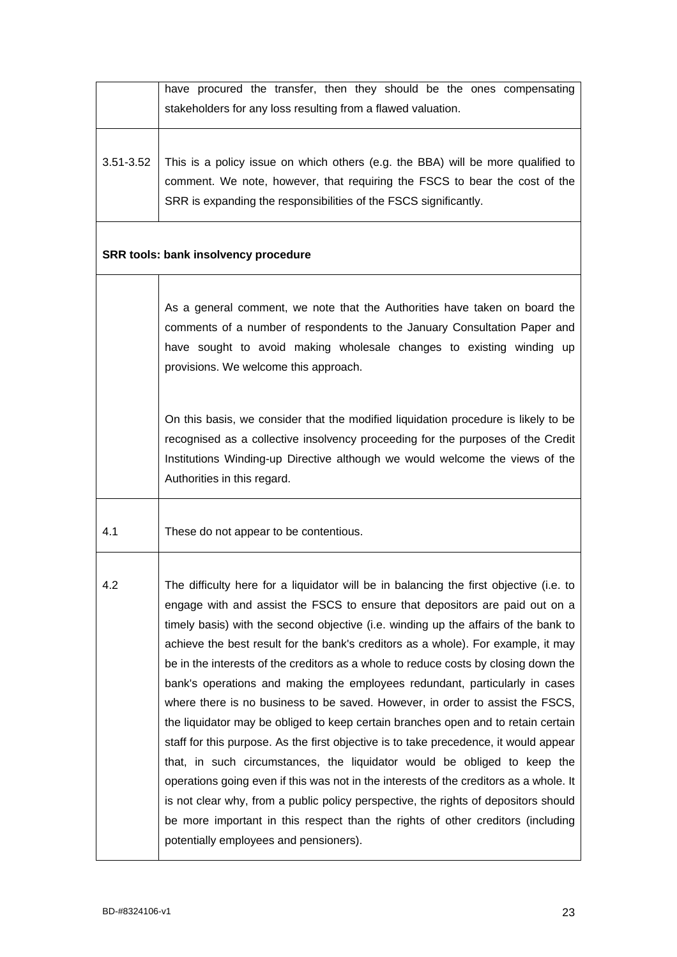|           | have procured the transfer, then they should be the ones compensating<br>stakeholders for any loss resulting from a flawed valuation.                                                                                                                                                                                                                                                                                                                                                                                                                                                                                                                                                                                                                                                                                                                                                                                                                                                                                                                                                                                                                                            |
|-----------|----------------------------------------------------------------------------------------------------------------------------------------------------------------------------------------------------------------------------------------------------------------------------------------------------------------------------------------------------------------------------------------------------------------------------------------------------------------------------------------------------------------------------------------------------------------------------------------------------------------------------------------------------------------------------------------------------------------------------------------------------------------------------------------------------------------------------------------------------------------------------------------------------------------------------------------------------------------------------------------------------------------------------------------------------------------------------------------------------------------------------------------------------------------------------------|
| 3.51-3.52 | This is a policy issue on which others (e.g. the BBA) will be more qualified to<br>comment. We note, however, that requiring the FSCS to bear the cost of the<br>SRR is expanding the responsibilities of the FSCS significantly.                                                                                                                                                                                                                                                                                                                                                                                                                                                                                                                                                                                                                                                                                                                                                                                                                                                                                                                                                |
|           | SRR tools: bank insolvency procedure                                                                                                                                                                                                                                                                                                                                                                                                                                                                                                                                                                                                                                                                                                                                                                                                                                                                                                                                                                                                                                                                                                                                             |
|           | As a general comment, we note that the Authorities have taken on board the<br>comments of a number of respondents to the January Consultation Paper and<br>have sought to avoid making wholesale changes to existing winding up<br>provisions. We welcome this approach.                                                                                                                                                                                                                                                                                                                                                                                                                                                                                                                                                                                                                                                                                                                                                                                                                                                                                                         |
|           | On this basis, we consider that the modified liquidation procedure is likely to be<br>recognised as a collective insolvency proceeding for the purposes of the Credit<br>Institutions Winding-up Directive although we would welcome the views of the<br>Authorities in this regard.                                                                                                                                                                                                                                                                                                                                                                                                                                                                                                                                                                                                                                                                                                                                                                                                                                                                                             |
| 4.1       | These do not appear to be contentious.                                                                                                                                                                                                                                                                                                                                                                                                                                                                                                                                                                                                                                                                                                                                                                                                                                                                                                                                                                                                                                                                                                                                           |
| 4.2       | The difficulty here for a liquidator will be in balancing the first objective (i.e. to<br>engage with and assist the FSCS to ensure that depositors are paid out on a<br>timely basis) with the second objective (i.e. winding up the affairs of the bank to<br>achieve the best result for the bank's creditors as a whole). For example, it may<br>be in the interests of the creditors as a whole to reduce costs by closing down the<br>bank's operations and making the employees redundant, particularly in cases<br>where there is no business to be saved. However, in order to assist the FSCS,<br>the liquidator may be obliged to keep certain branches open and to retain certain<br>staff for this purpose. As the first objective is to take precedence, it would appear<br>that, in such circumstances, the liquidator would be obliged to keep the<br>operations going even if this was not in the interests of the creditors as a whole. It<br>is not clear why, from a public policy perspective, the rights of depositors should<br>be more important in this respect than the rights of other creditors (including<br>potentially employees and pensioners). |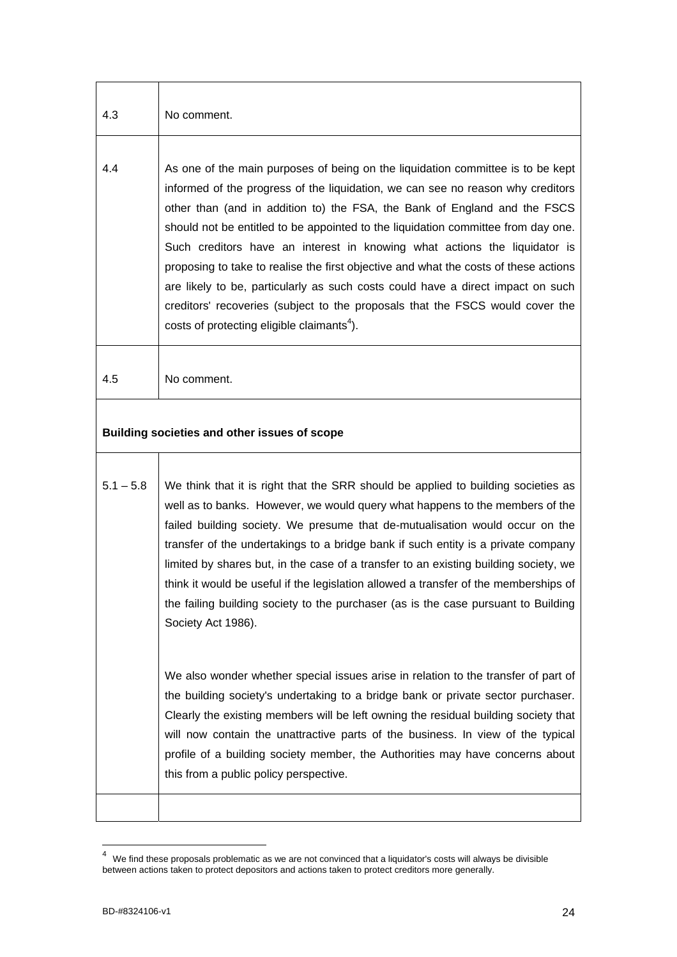| 4.3         | No comment.                                                                                                                                                                                                                                                                                                                                                                                                                                                                                                                                                                                                                                                                                                                             |
|-------------|-----------------------------------------------------------------------------------------------------------------------------------------------------------------------------------------------------------------------------------------------------------------------------------------------------------------------------------------------------------------------------------------------------------------------------------------------------------------------------------------------------------------------------------------------------------------------------------------------------------------------------------------------------------------------------------------------------------------------------------------|
| 4.4         | As one of the main purposes of being on the liquidation committee is to be kept<br>informed of the progress of the liquidation, we can see no reason why creditors<br>other than (and in addition to) the FSA, the Bank of England and the FSCS<br>should not be entitled to be appointed to the liquidation committee from day one.<br>Such creditors have an interest in knowing what actions the liquidator is<br>proposing to take to realise the first objective and what the costs of these actions<br>are likely to be, particularly as such costs could have a direct impact on such<br>creditors' recoveries (subject to the proposals that the FSCS would cover the<br>costs of protecting eligible claimants <sup>4</sup> ). |
| 4.5         | No comment.                                                                                                                                                                                                                                                                                                                                                                                                                                                                                                                                                                                                                                                                                                                             |
|             | Building societies and other issues of scope                                                                                                                                                                                                                                                                                                                                                                                                                                                                                                                                                                                                                                                                                            |
| $5.1 - 5.8$ | We think that it is right that the SRR should be applied to building societies as<br>well as to banks. However, we would query what happens to the members of the<br>failed building society. We presume that de-mutualisation would occur on the<br>transfer of the undertakings to a bridge bank if such entity is a private company<br>limited by shares but, in the case of a transfer to an existing building society, we<br>think it would be useful if the legislation allowed a transfer of the memberships of<br>the failing building society to the purchaser (as is the case pursuant to Building<br>Society Act 1986).                                                                                                      |
|             | We also wonder whether special issues arise in relation to the transfer of part of<br>the building society's undertaking to a bridge bank or private sector purchaser.<br>Clearly the existing members will be left owning the residual building society that<br>will now contain the unattractive parts of the business. In view of the typical<br>profile of a building society member, the Authorities may have concerns about<br>this from a public policy perspective.                                                                                                                                                                                                                                                             |
|             |                                                                                                                                                                                                                                                                                                                                                                                                                                                                                                                                                                                                                                                                                                                                         |

<span id="page-23-0"></span> <sup>4</sup> We find these proposals problematic as we are not convinced that a liquidator's costs will always be divisible between actions taken to protect depositors and actions taken to protect creditors more generally.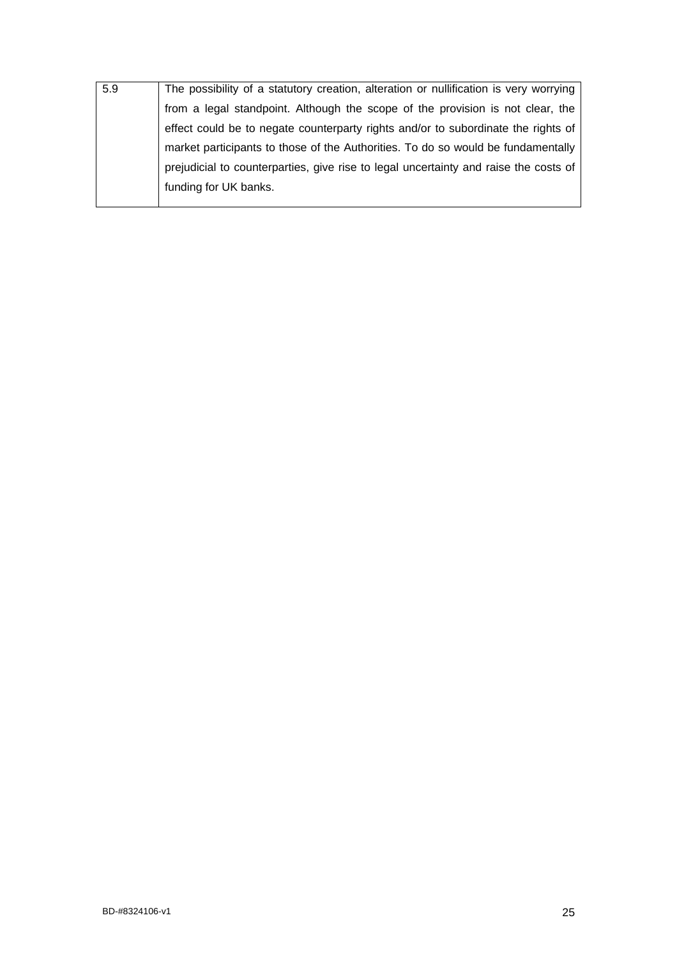| 5.9 | The possibility of a statutory creation, alteration or nullification is very worrying |
|-----|---------------------------------------------------------------------------------------|
|     | from a legal standpoint. Although the scope of the provision is not clear, the        |
|     | effect could be to negate counterparty rights and/or to subordinate the rights of     |
|     | market participants to those of the Authorities. To do so would be fundamentally      |
|     | prejudicial to counterparties, give rise to legal uncertainty and raise the costs of  |
|     | funding for UK banks.                                                                 |
|     |                                                                                       |